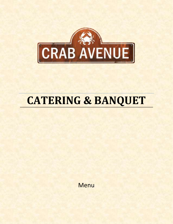

## **CATERING & BANQUET**

**Menu**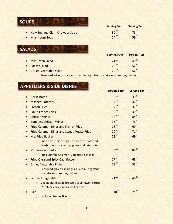## **SOUPS**

- New England Clam Chowder Soup 30<sup>.95</sup> 30<sup>.95</sup> 78<sup>.95</sup><br>• Mushroom Soup 24<sup>.95</sup> 29.<sup>95</sup>
- Mushroom Soup 24<sup>.95</sup> 59<sup>.95</sup>

## **SALADS**

|                           | <b>Serving Four</b> | <b>Serving Ten</b> |
|---------------------------|---------------------|--------------------|
| • Mix Green Salad         | $21^{.95}$          | 49.95              |
| • Caesar Salad            | 22.95               | $52^{.95}$         |
| • Grilled Vegetable Salad | 24.95               | $56^{.95}$         |

**Serving Four Serving Ten**

o Seasoned grilled asparagus, zucchini, eggplant, tomato, mushrooms, onions

|           | <b>APPETIZERS &amp; SIDE DISHES</b>                          |                     |                    |
|-----------|--------------------------------------------------------------|---------------------|--------------------|
|           |                                                              | <b>Serving Four</b> | <b>Serving Ten</b> |
|           | <b>Garlic Bread</b>                                          | $19^{.95}$          | 39.95              |
| $\bullet$ | <b>Mashed Potatoes</b>                                       | $17^{.95}$          | 37.95              |
| $\bullet$ | <b>French Fries</b>                                          | $17^{.95}$          | 37.95              |
| $\bullet$ | <b>Cajun French Fries</b>                                    | 19.95               | 39.95              |
| $\bullet$ | <b>Chicken Wings</b>                                         | 38.95               | 84.95              |
| $\bullet$ | <b>Boneless Chicken Wings</b>                                | 35.95               | $76^{.95}$         |
|           | <b>Fried Calamari Rings and French Fries</b>                 | 28.95               | 69.95              |
|           | <b>Fried Calamari Rings and Sweet Potato Fries</b>           | 29.95               | 71.95              |
|           | <b>Mix Fried Basket</b>                                      | 28.95               | 69.95              |
|           | Fried okra, onion rings, French fries, battered<br>$\Omega$  |                     |                    |
|           | Mushrooms, jalapeno poppers and tater tots                   |                     |                    |
|           | <b>Mix Seafood Basket</b>                                    | $39^{.95}$          | 84.95              |
|           | Fried Shrimp, Calamari, Cod bites, Scallops<br>$\circ$       |                     |                    |
|           | <b>Fried Okra and Spicy Cauliflower</b>                      | $27^{.95}$          | 63.95              |
| $\bullet$ | <b>Grilled Vegetable Plate</b>                               | 23.95               | $53^{.95}$         |
|           | Seasoned grilled asparagus, zucchini, eggplant,<br>$\circ$   |                     |                    |
|           | tomato, mushrooms, onions                                    |                     |                    |
|           | Sautéed Vegetable                                            | $21^{.95}$          | 48.95              |
|           | Vegetables include broccoli, cauliflower, carrot,<br>$\circ$ |                     |                    |
|           | Zucchini, corn, onions, bell pepper                          |                     |                    |
|           | <b>Rice</b>                                                  | $10^{.95}$          | $25^{.95}$         |
|           | <b>White or Brown Rice</b><br>$\circ$                        |                     |                    |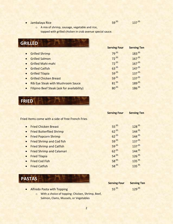**Jambalaya Rice 59.95** 

.<sup>95</sup> 137<sup>.95</sup>

o A mix of shrimp, sausage, vegetable and rice,

topped with grilled chicken in crab avenue special sauce.

| <b>GRILLED</b>                                                 |                     |                    |  |  |
|----------------------------------------------------------------|---------------------|--------------------|--|--|
|                                                                | <b>Serving Four</b> | <b>Serving Ten</b> |  |  |
| • Grilled Shrimp                                               | 79.95               | 183.95             |  |  |
| • Grilled Salmon                                               | 72.95               | $167^{.95}$        |  |  |
| • Grilled Mahi-mahi                                            | 72.95               | $167^{.95}$        |  |  |
| <b>Grilled Catfish</b><br>$\bullet$                            | 63.95               | 147.95             |  |  |
| <b>Grilled Tilapia</b><br>$\bullet$                            | $59^{.95}$          | $137^{.95}$        |  |  |
| • Grilled Chicken Breast                                       | $59^{.95}$          | $137^{.95}$        |  |  |
| <b>Rib Eye Steak with Mushroom Sauce</b><br>$\bullet$          | $81^{.95}$          | 189.95             |  |  |
| <b>Filipino Beef Steak (ask for availability)</b><br>$\bullet$ | $80^{.95}$          | 186.95             |  |  |

**FRIED**

|                                                          | <b>Serving Four</b> | <b>Serving Ten</b> |
|----------------------------------------------------------|---------------------|--------------------|
| <b>Fried Items come with a side of free French Fries</b> |                     |                    |
| • Fried Chicken Breast                                   | $55^{.95}$          | 128.95             |
| • Fried Butterflied Shrimp                               | $62^{.95}$          | 144.95             |
| • Fried Popcorn Shrimp                                   | $62^{.95}$          | $144^{.95}$        |
| • Fried Shrimp and Cod fish                              | $59^{.95}$          | $137^{.95}$        |
| • Fried Shrimp and Catfish                               | $59^{.95}$          | $137^{.95}$        |
| • Fried Shrimp and Calamari                              | $62^{.95}$          | 144.95             |
| <b>Fried Tilapia</b>                                     | $54^{.95}$          | $126^{.95}$        |
| <b>Fried Cod Fish</b>                                    | $58^{.95}$          | 135.95             |
| <b>Fried Catfish</b>                                     | $58^{.95}$          | $135^{.95}$        |



• Alfredo Pasta with Topping

| <b>Serving Four</b> | <b>Serving Ten</b> |  |
|---------------------|--------------------|--|
| $55^{.95}$          | 129.95             |  |

o With a choice of topping: Chicken, Shrimp, Beef, Salmon, Clams, Mussels, or Vegetables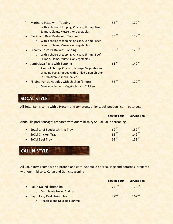|           |         | <b>Marinara Pasta with Topping</b>                  | $55^{.95}$ | 129.95      |
|-----------|---------|-----------------------------------------------------|------------|-------------|
|           | $\circ$ | With a choice of topping: Chicken, Shrimp, Beef,    |            |             |
|           |         | Salmon, Clams, Mussels, or Vegetables               |            |             |
|           |         | <b>Garlic and Basil Pasta with Topping</b>          | $55^{.95}$ | $129^{.95}$ |
|           | $\circ$ | With a choice of topping: Chicken, Shrimp, Beef,    |            |             |
|           |         | Salmon, Clams, Mussels, or Vegetables               |            |             |
| $\bullet$ |         | <b>Creamy Pesto Pasta with Topping</b>              | $55^{.95}$ | 129.95      |
|           | $\circ$ | With a choice of topping: Chicken, Shrimp, Beef,    |            |             |
|           |         | Salmon, Clams, Mussels, or Vegetables               |            |             |
| $\bullet$ |         | Jambalaya Pasta with Topping                        | $61^{.95}$ | $142^{.95}$ |
|           | $\circ$ | A mix of Shrimp, Chicken, Sausage, Vegetable and    |            |             |
|           |         | Linguine Pasta, topped with Grilled Cajun Chicken   |            |             |
|           |         | In Crab Avenue special sauce.                       |            |             |
|           |         | <b>Filipino Pancit Noodles with chicken (Bihon)</b> | $55^{.95}$ | $129^{.95}$ |
|           | $\circ$ | <b>Corn Noodles with Vegetables and Chicken</b>     |            |             |

**SOCAL STYLE**

All SoCal Items come with a Protein and tomatoes, onions, bell peppers, corn, potatoes,

|                                                                                                                        | <b>Serving Four</b>     | <b>Serving Ten</b>                   |  |
|------------------------------------------------------------------------------------------------------------------------|-------------------------|--------------------------------------|--|
| Andouille pork sausage; prepared with our mild spicy So-Cal Cajun seasoning.                                           |                         |                                      |  |
| <b>SoCal Chef Special Shrimp Tray</b><br>$\bullet$<br><b>SoCal Chicken Tray</b><br><b>SoCal Beef Tray</b><br>$\bullet$ | 69.95<br>65.95<br>69.95 | $159^{.95}$<br>149.95<br>$159^{.95}$ |  |
| <b>CAJUN STYLE</b>                                                                                                     |                         |                                      |  |

All Cajun Items come with a protein and corn, Andouille pork sausage and potatoes; prepared with our mild spicy Cajun and Garlic seasoning

|                                     | <b>Serving Four</b> | <b>Serving Ten</b> |
|-------------------------------------|---------------------|--------------------|
| • Cajun Naked Shrimp boil           | $77 \cdot ^{95}$    | 179.95             |
| o Completely Peeled Shrimp          |                     |                    |
| Cajun Easy Peel Shrimp boil         | 72.95               | $167^{.95}$        |
| <b>Headless and Deveined Shrimp</b> |                     |                    |